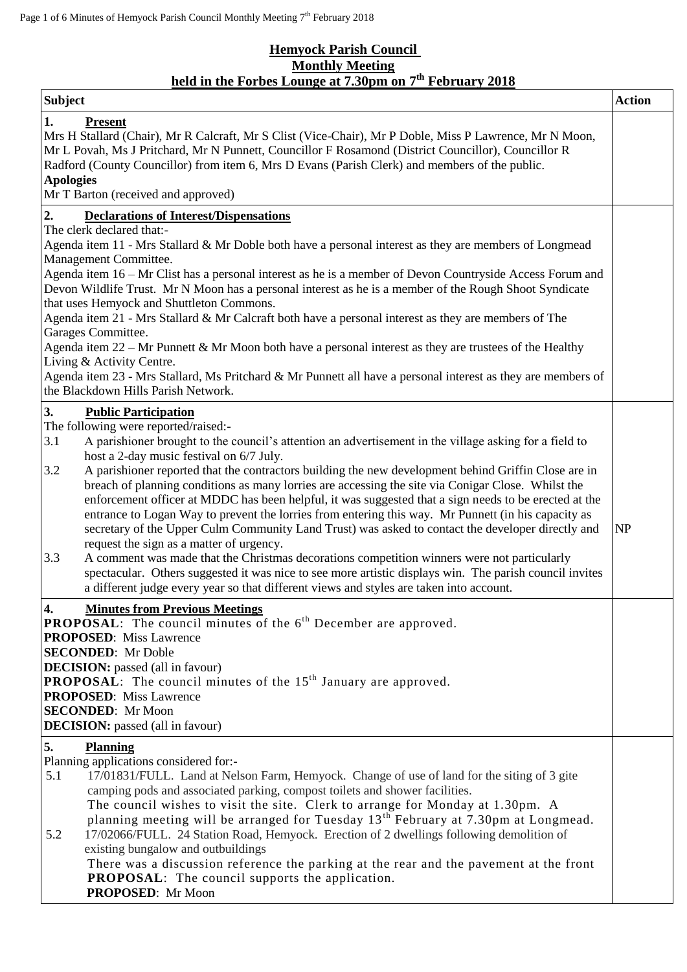## **Hemyock Parish Council Monthly Meeting held in the Forbes Lounge at 7.30pm on 7 th February 2018**

| <b>Subject</b>                                                                                                                                                                                                                                                                                                                                                                                                                                                                                                                                                                                                                                                                                                                                                                                                                                                                                                                                                                                                                                                                                                                           | <b>Action</b> |
|------------------------------------------------------------------------------------------------------------------------------------------------------------------------------------------------------------------------------------------------------------------------------------------------------------------------------------------------------------------------------------------------------------------------------------------------------------------------------------------------------------------------------------------------------------------------------------------------------------------------------------------------------------------------------------------------------------------------------------------------------------------------------------------------------------------------------------------------------------------------------------------------------------------------------------------------------------------------------------------------------------------------------------------------------------------------------------------------------------------------------------------|---------------|
| 1.<br><b>Present</b><br>Mrs H Stallard (Chair), Mr R Calcraft, Mr S Clist (Vice-Chair), Mr P Doble, Miss P Lawrence, Mr N Moon,<br>Mr L Povah, Ms J Pritchard, Mr N Punnett, Councillor F Rosamond (District Councillor), Councillor R<br>Radford (County Councillor) from item 6, Mrs D Evans (Parish Clerk) and members of the public.<br><b>Apologies</b><br>Mr T Barton (received and approved)                                                                                                                                                                                                                                                                                                                                                                                                                                                                                                                                                                                                                                                                                                                                      |               |
| 2.<br><b>Declarations of Interest/Dispensations</b><br>The clerk declared that:-<br>Agenda item 11 - Mrs Stallard & Mr Doble both have a personal interest as they are members of Longmead<br>Management Committee.<br>Agenda item 16 – Mr Clist has a personal interest as he is a member of Devon Countryside Access Forum and<br>Devon Wildlife Trust. Mr N Moon has a personal interest as he is a member of the Rough Shoot Syndicate<br>that uses Hemyock and Shuttleton Commons.<br>Agenda item 21 - Mrs Stallard & Mr Calcraft both have a personal interest as they are members of The<br>Garages Committee.<br>Agenda item $22 - Mr$ Punnett & Mr Moon both have a personal interest as they are trustees of the Healthy<br>Living & Activity Centre.<br>Agenda item 23 - Mrs Stallard, Ms Pritchard & Mr Punnett all have a personal interest as they are members of<br>the Blackdown Hills Parish Network.                                                                                                                                                                                                                   |               |
| 3.<br><b>Public Participation</b><br>The following were reported/raised:-<br>3.1<br>A parishioner brought to the council's attention an advertisement in the village asking for a field to<br>host a 2-day music festival on 6/7 July.<br>3.2<br>A parishioner reported that the contractors building the new development behind Griffin Close are in<br>breach of planning conditions as many lorries are accessing the site via Conigar Close. Whilst the<br>enforcement officer at MDDC has been helpful, it was suggested that a sign needs to be erected at the<br>entrance to Logan Way to prevent the lorries from entering this way. Mr Punnett (in his capacity as<br>secretary of the Upper Culm Community Land Trust) was asked to contact the developer directly and<br>request the sign as a matter of urgency.<br>3.3<br>A comment was made that the Christmas decorations competition winners were not particularly<br>spectacular. Others suggested it was nice to see more artistic displays win. The parish council invites<br>a different judge every year so that different views and styles are taken into account. | NP            |
| $\boldsymbol{4}$ .<br><b>Minutes from Previous Meetings</b><br><b>PROPOSAL:</b> The council minutes of the $6th$ December are approved.<br><b>PROPOSED:</b> Miss Lawrence<br><b>SECONDED:</b> Mr Doble<br><b>DECISION:</b> passed (all in favour)<br><b>PROPOSAL:</b> The council minutes of the $15th$ January are approved.<br><b>PROPOSED:</b> Miss Lawrence<br><b>SECONDED:</b> Mr Moon<br><b>DECISION:</b> passed (all in favour)                                                                                                                                                                                                                                                                                                                                                                                                                                                                                                                                                                                                                                                                                                   |               |
| 5.<br><b>Planning</b><br>Planning applications considered for:-<br>17/01831/FULL. Land at Nelson Farm, Hemyock. Change of use of land for the siting of 3 gite<br>5.1<br>camping pods and associated parking, compost toilets and shower facilities.<br>The council wishes to visit the site. Clerk to arrange for Monday at 1.30pm. A<br>planning meeting will be arranged for Tuesday 13 <sup>th</sup> February at 7.30pm at Longmead.<br>17/02066/FULL. 24 Station Road, Hemyock. Erection of 2 dwellings following demolition of<br>5.2<br>existing bungalow and outbuildings<br>There was a discussion reference the parking at the rear and the pavement at the front<br><b>PROPOSAL:</b> The council supports the application.<br>PROPOSED: Mr Moon                                                                                                                                                                                                                                                                                                                                                                               |               |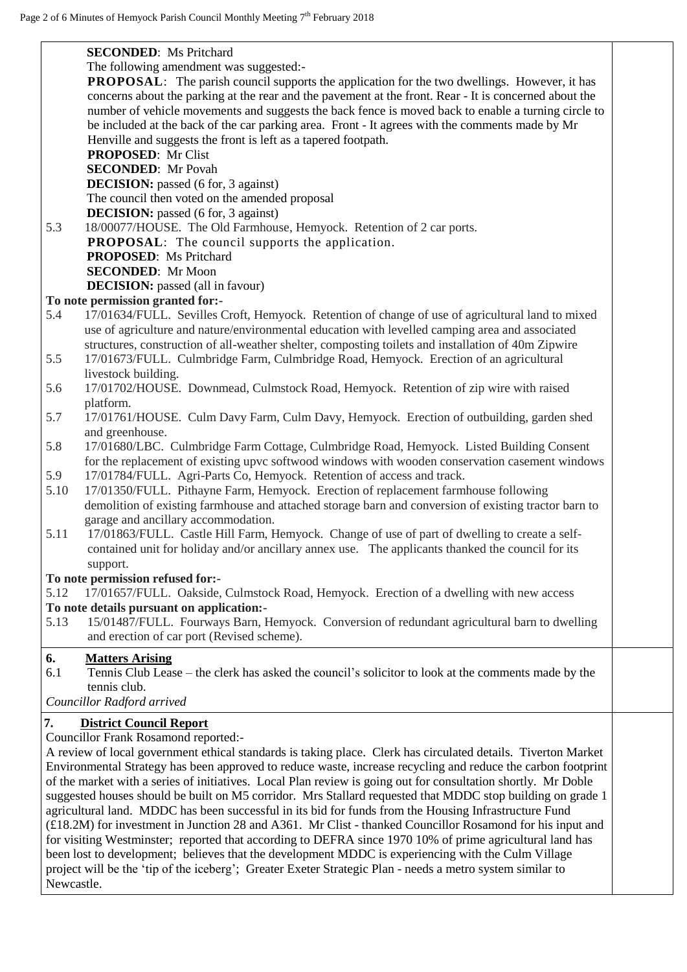|                                                                                                               | <b>SECONDED:</b> Ms Pritchard                                                                                       |  |  |  |
|---------------------------------------------------------------------------------------------------------------|---------------------------------------------------------------------------------------------------------------------|--|--|--|
| The following amendment was suggested:-                                                                       |                                                                                                                     |  |  |  |
|                                                                                                               | PROPOSAL: The parish council supports the application for the two dwellings. However, it has                        |  |  |  |
|                                                                                                               | concerns about the parking at the rear and the pavement at the front. Rear - It is concerned about the              |  |  |  |
|                                                                                                               | number of vehicle movements and suggests the back fence is moved back to enable a turning circle to                 |  |  |  |
|                                                                                                               | be included at the back of the car parking area. Front - It agrees with the comments made by Mr                     |  |  |  |
|                                                                                                               | Henville and suggests the front is left as a tapered footpath.                                                      |  |  |  |
|                                                                                                               | <b>PROPOSED:</b> Mr Clist                                                                                           |  |  |  |
|                                                                                                               | <b>SECONDED:</b> Mr Povah                                                                                           |  |  |  |
|                                                                                                               | <b>DECISION:</b> passed (6 for, 3 against)                                                                          |  |  |  |
|                                                                                                               | The council then voted on the amended proposal                                                                      |  |  |  |
|                                                                                                               | <b>DECISION:</b> passed (6 for, 3 against)                                                                          |  |  |  |
| 5.3                                                                                                           | 18/00077/HOUSE. The Old Farmhouse, Hemyock. Retention of 2 car ports.                                               |  |  |  |
|                                                                                                               | <b>PROPOSAL:</b> The council supports the application.                                                              |  |  |  |
|                                                                                                               | <b>PROPOSED:</b> Ms Pritchard                                                                                       |  |  |  |
|                                                                                                               | <b>SECONDED:</b> Mr Moon                                                                                            |  |  |  |
|                                                                                                               | <b>DECISION:</b> passed (all in favour)                                                                             |  |  |  |
|                                                                                                               | To note permission granted for:-                                                                                    |  |  |  |
| 5.4                                                                                                           | 17/01634/FULL. Sevilles Croft, Hemyock. Retention of change of use of agricultural land to mixed                    |  |  |  |
|                                                                                                               | use of agriculture and nature/environmental education with levelled camping area and associated                     |  |  |  |
|                                                                                                               | structures, construction of all-weather shelter, composting toilets and installation of 40m Zipwire                 |  |  |  |
| 5.5                                                                                                           | 17/01673/FULL. Culmbridge Farm, Culmbridge Road, Hemyock. Erection of an agricultural                               |  |  |  |
|                                                                                                               | livestock building.                                                                                                 |  |  |  |
| 5.6                                                                                                           | 17/01702/HOUSE. Downmead, Culmstock Road, Hemyock. Retention of zip wire with raised                                |  |  |  |
|                                                                                                               | platform.                                                                                                           |  |  |  |
| 5.7                                                                                                           | 17/01761/HOUSE. Culm Davy Farm, Culm Davy, Hemyock. Erection of outbuilding, garden shed                            |  |  |  |
|                                                                                                               | and greenhouse.                                                                                                     |  |  |  |
| 5.8                                                                                                           | 17/01680/LBC. Culmbridge Farm Cottage, Culmbridge Road, Hemyock. Listed Building Consent                            |  |  |  |
|                                                                                                               | for the replacement of existing upvc softwood windows with wooden conservation casement windows                     |  |  |  |
| 5.9                                                                                                           | 17/01784/FULL. Agri-Parts Co, Hemyock. Retention of access and track.                                               |  |  |  |
| 5.10                                                                                                          | 17/01350/FULL. Pithayne Farm, Hemyock. Erection of replacement farmhouse following                                  |  |  |  |
|                                                                                                               | demolition of existing farmhouse and attached storage barn and conversion of existing tractor barn to               |  |  |  |
|                                                                                                               | garage and ancillary accommodation.                                                                                 |  |  |  |
| 5.11                                                                                                          | 17/01863/FULL. Castle Hill Farm, Hemyock. Change of use of part of dwelling to create a self-                       |  |  |  |
|                                                                                                               | contained unit for holiday and/or ancillary annex use. The applicants thanked the council for its                   |  |  |  |
|                                                                                                               | support.                                                                                                            |  |  |  |
|                                                                                                               | To note permission refused for:-                                                                                    |  |  |  |
| 5.12                                                                                                          | 17/01657/FULL. Oakside, Culmstock Road, Hemyock. Erection of a dwelling with new access                             |  |  |  |
|                                                                                                               | To note details pursuant on application:-                                                                           |  |  |  |
| 5.13                                                                                                          | 15/01487/FULL. Fourways Barn, Hemyock. Conversion of redundant agricultural barn to dwelling                        |  |  |  |
|                                                                                                               | and erection of car port (Revised scheme).                                                                          |  |  |  |
|                                                                                                               |                                                                                                                     |  |  |  |
| 6.<br>6.1                                                                                                     | <b>Matters Arising</b>                                                                                              |  |  |  |
|                                                                                                               | Tennis Club Lease – the clerk has asked the council's solicitor to look at the comments made by the<br>tennis club. |  |  |  |
|                                                                                                               |                                                                                                                     |  |  |  |
|                                                                                                               | Councillor Radford arrived                                                                                          |  |  |  |
| 7.                                                                                                            | <b>District Council Report</b>                                                                                      |  |  |  |
|                                                                                                               | Councillor Frank Rosamond reported:-                                                                                |  |  |  |
|                                                                                                               | A review of local government ethical standards is taking place. Clerk has circulated details. Tiverton Market       |  |  |  |
|                                                                                                               | Environmental Strategy has been approved to reduce waste, increase recycling and reduce the carbon footprint        |  |  |  |
| of the market with a series of initiatives. Local Plan review is going out for consultation shortly. Mr Doble |                                                                                                                     |  |  |  |
| suggested houses should be built on M5 corridor. Mrs Stallard requested that MDDC stop building on grade 1    |                                                                                                                     |  |  |  |
| agricultural land. MDDC has been successful in its bid for funds from the Housing Infrastructure Fund         |                                                                                                                     |  |  |  |
| (£18.2M) for investment in Junction 28 and A361. Mr Clist - thanked Councillor Rosamond for his input and     |                                                                                                                     |  |  |  |
| for visiting Westminster; reported that according to DEFRA since 1970 10% of prime agricultural land has      |                                                                                                                     |  |  |  |
| been lost to development; believes that the development MDDC is experiencing with the Culm Village            |                                                                                                                     |  |  |  |
| project will be the 'tip of the iceberg'; Greater Exeter Strategic Plan - needs a metro system similar to     |                                                                                                                     |  |  |  |
| Newcastle.                                                                                                    |                                                                                                                     |  |  |  |
|                                                                                                               |                                                                                                                     |  |  |  |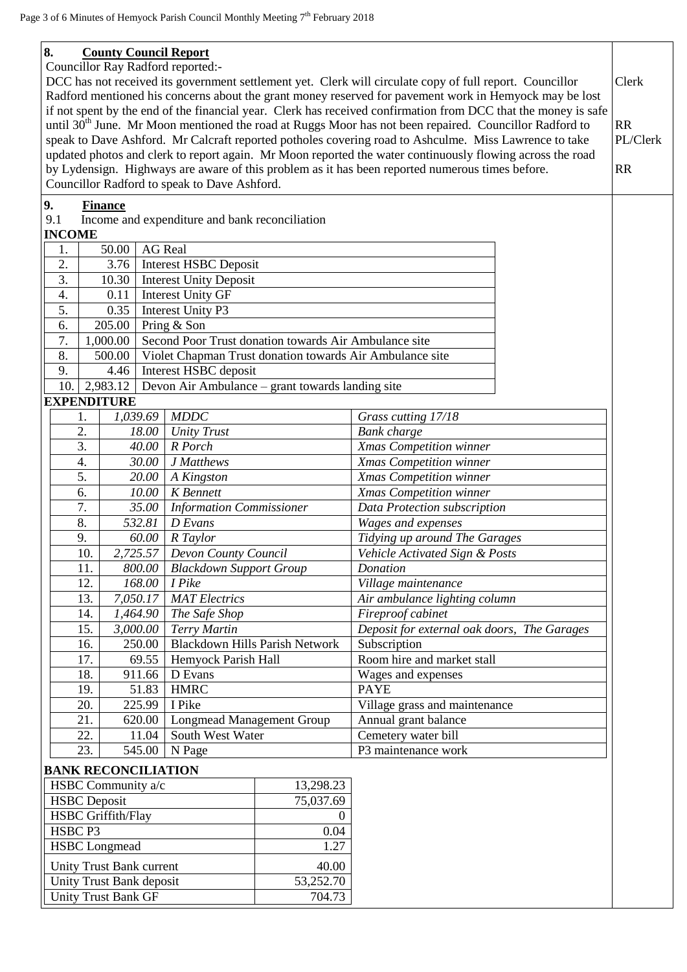## **8. County Council Report**

Councillor Ray Radford reported:-

DCC has not received its government settlement yet. Clerk will circulate copy of full report. Councillor Radford mentioned his concerns about the grant money reserved for pavement work in Hemyock may be lost if not spent by the end of the financial year. Clerk has received confirmation from DCC that the money is safe until  $30<sup>th</sup>$  June. Mr Moon mentioned the road at Ruggs Moor has not been repaired. Councillor Radford to speak to Dave Ashford. Mr Calcraft reported potholes covering road to Ashculme. Miss Lawrence to take updated photos and clerk to report again. Mr Moon reported the water continuously flowing across the road by Lydensign. Highways are aware of this problem as it has been reported numerous times before. Councillor Radford to speak to Dave Ashford. Clerk RR PL/Clerk RR

## **9. Finance**

9.1 Income and expenditure and bank reconciliation

| <b>INCOME</b> |                                                                    |          |                                                       |                     |  |
|---------------|--------------------------------------------------------------------|----------|-------------------------------------------------------|---------------------|--|
|               | 50.00                                                              |          | <b>AG</b> Real                                        |                     |  |
| 2.            | 3.76                                                               |          | <b>Interest HSBC Deposit</b>                          |                     |  |
| 3.            | 10.30                                                              |          | <b>Interest Unity Deposit</b>                         |                     |  |
| 4.            | 0.11                                                               |          | <b>Interest Unity GF</b>                              |                     |  |
| 5.            | 0.35                                                               |          | Interest Unity P3                                     |                     |  |
| 6.            | 205.00                                                             |          | Pring & Son                                           |                     |  |
| 7.            | 1,000.00                                                           |          | Second Poor Trust donation towards Air Ambulance site |                     |  |
| 8.            | 500.00<br>Violet Chapman Trust donation towards Air Ambulance site |          |                                                       |                     |  |
| 9.<br>4.46    |                                                                    |          | Interest HSBC deposit                                 |                     |  |
| 10.           | 2,983.12                                                           |          | Devon Air Ambulance – grant towards landing site      |                     |  |
|               | <b>EXPENDITURE</b>                                                 |          |                                                       |                     |  |
|               | 1.                                                                 | 1,039.69 | <b>MDDC</b>                                           | Grass cutting 17/18 |  |
|               | 2.                                                                 | 18.00 I  | <b>Unity Trust</b>                                    | <b>Bank</b> charge  |  |

|     | 1,039.69   MDDC |                                       | Grass cutting 17/18                         |
|-----|-----------------|---------------------------------------|---------------------------------------------|
| 2.  | 18.00           | Unity Trust                           | Bank charge                                 |
| 3.  | 40.00           | R Porch                               | Xmas Competition winner                     |
| 4.  | 30.00           | J Matthews                            | Xmas Competition winner                     |
| 5.  | 20.00           | A Kingston                            | Xmas Competition winner                     |
| 6.  | 10.00           | <b>K</b> Bennett                      | Xmas Competition winner                     |
| 7.  | 35.00           | <b>Information Commissioner</b>       | Data Protection subscription                |
| 8.  | 532.81          | D Evans                               | Wages and expenses                          |
| 9.  | 60.00           | R Taylor                              | Tidying up around The Garages               |
| 10. | 2,725.57        | Devon County Council                  | Vehicle Activated Sign & Posts              |
| 11. | 800.00          | <b>Blackdown Support Group</b>        | Donation                                    |
| 12. | 168.00          | I Pike                                | Village maintenance                         |
| 13. | 7,050.17        | <b>MAT</b> Electrics                  | Air ambulance lighting column               |
| 14. | 1,464.90        | The Safe Shop                         | Fireproof cabinet                           |
| 15. | 3,000.00        | Terry Martin                          | Deposit for external oak doors, The Garages |
| 16. | 250.00          | <b>Blackdown Hills Parish Network</b> | Subscription                                |
| 17. | 69.55           | Hemyock Parish Hall                   | Room hire and market stall                  |
| 18. | 911.66          | D Evans                               | Wages and expenses                          |
| 19. | 51.83           | <b>HMRC</b>                           | <b>PAYE</b>                                 |
| 20. | 225.99          | I Pike                                | Village grass and maintenance               |
| 21. | 620.00          | <b>Longmead Management Group</b>      | Annual grant balance                        |
| 22. | 11.04           | South West Water                      | Cemetery water bill                         |
| 23. | 545.00          | N Page                                | P3 maintenance work                         |

## **BANK RECONCILIATION**

| HSBC Community a/c         | 13,298.23 |
|----------------------------|-----------|
| <b>HSBC</b> Deposit        | 75,037.69 |
| <b>HSBC</b> Griffith/Flay  |           |
| HSBC P3                    | 0.04      |
| <b>HSBC</b> Longmead       | 1.27      |
| Unity Trust Bank current   | 40.00     |
| Unity Trust Bank deposit   | 53,252.70 |
| <b>Unity Trust Bank GF</b> | 704.73    |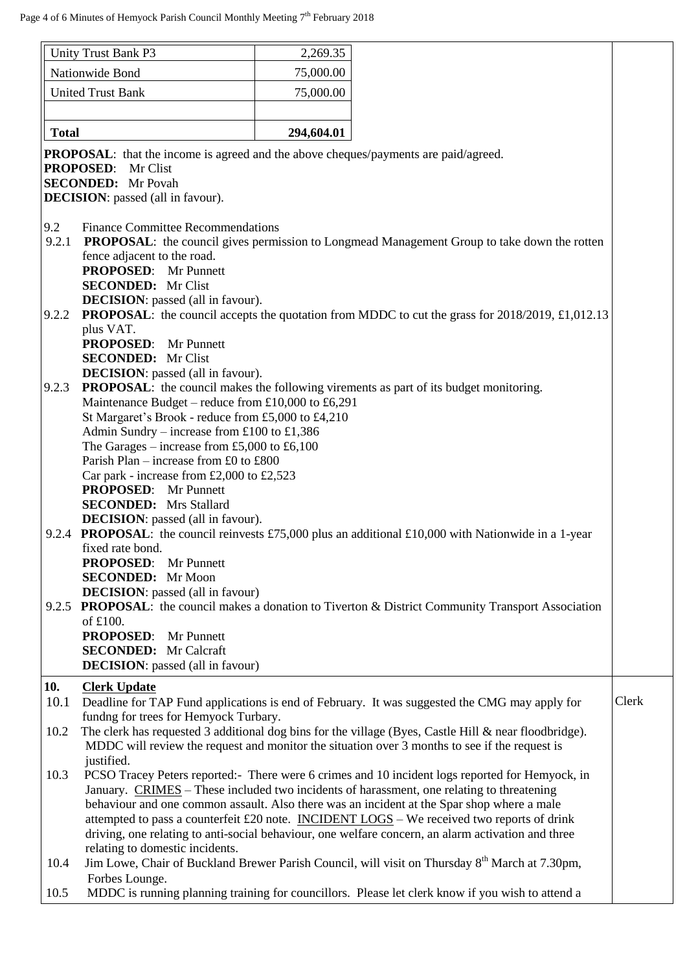| Unity Trust Bank P3      |                                                                                                                                                                                                                                                                                                                                                                | 2,269.35   |                                                                                                                                                                                                                                                                                                                                                                                                                                                                                                 |       |  |
|--------------------------|----------------------------------------------------------------------------------------------------------------------------------------------------------------------------------------------------------------------------------------------------------------------------------------------------------------------------------------------------------------|------------|-------------------------------------------------------------------------------------------------------------------------------------------------------------------------------------------------------------------------------------------------------------------------------------------------------------------------------------------------------------------------------------------------------------------------------------------------------------------------------------------------|-------|--|
| Nationwide Bond          |                                                                                                                                                                                                                                                                                                                                                                | 75,000.00  |                                                                                                                                                                                                                                                                                                                                                                                                                                                                                                 |       |  |
| <b>United Trust Bank</b> |                                                                                                                                                                                                                                                                                                                                                                | 75,000.00  |                                                                                                                                                                                                                                                                                                                                                                                                                                                                                                 |       |  |
|                          |                                                                                                                                                                                                                                                                                                                                                                |            |                                                                                                                                                                                                                                                                                                                                                                                                                                                                                                 |       |  |
| <b>Total</b>             |                                                                                                                                                                                                                                                                                                                                                                | 294,604.01 |                                                                                                                                                                                                                                                                                                                                                                                                                                                                                                 |       |  |
|                          | <b>PROPOSAL:</b> that the income is agreed and the above cheques/payments are paid/agreed.<br><b>PROPOSED:</b><br>Mr Clist<br><b>SECONDED:</b> Mr Povah<br><b>DECISION</b> : passed (all in favour).                                                                                                                                                           |            |                                                                                                                                                                                                                                                                                                                                                                                                                                                                                                 |       |  |
| 9.2<br>9.2.1             | <b>Finance Committee Recommendations</b><br>fence adjacent to the road.<br><b>PROPOSED:</b> Mr Punnett<br><b>SECONDED:</b> Mr Clist<br><b>DECISION</b> : passed (all in favour).                                                                                                                                                                               |            | <b>PROPOSAL:</b> the council gives permission to Longmead Management Group to take down the rotten                                                                                                                                                                                                                                                                                                                                                                                              |       |  |
| 9.2.2                    | plus VAT.<br><b>PROPOSED:</b> Mr Punnett<br><b>SECONDED:</b> Mr Clist<br><b>DECISION</b> : passed (all in favour).                                                                                                                                                                                                                                             |            | <b>PROPOSAL:</b> the council accepts the quotation from MDDC to cut the grass for 2018/2019, £1,012.13                                                                                                                                                                                                                                                                                                                                                                                          |       |  |
| 9.2.3                    | Maintenance Budget – reduce from £10,000 to £6,291<br>St Margaret's Brook - reduce from £5,000 to £4,210<br>Admin Sundry – increase from £100 to £1,386<br>The Garages – increase from £5,000 to £6,100<br>Parish Plan – increase from £0 to £800<br>Car park - increase from £2,000 to £2,523<br><b>PROPOSED:</b> Mr Punnett<br><b>SECONDED:</b> Mrs Stallard |            | <b>PROPOSAL:</b> the council makes the following virements as part of its budget monitoring.                                                                                                                                                                                                                                                                                                                                                                                                    |       |  |
| 9.2.4                    | <b>DECISION</b> : passed (all in favour).<br>fixed rate bond.<br><b>PROPOSED:</b> Mr Punnett<br><b>SECONDED:</b> Mr Moon<br><b>DECISION</b> : passed (all in favour)                                                                                                                                                                                           |            | <b>PROPOSAL:</b> the council reinvests £75,000 plus an additional £10,000 with Nationwide in a 1-year                                                                                                                                                                                                                                                                                                                                                                                           |       |  |
| 9.2.5                    | of £100.<br><b>PROPOSED:</b> Mr Punnett<br><b>SECONDED:</b> Mr Calcraft<br><b>DECISION</b> : passed (all in favour)                                                                                                                                                                                                                                            |            | PROPOSAL: the council makes a donation to Tiverton & District Community Transport Association                                                                                                                                                                                                                                                                                                                                                                                                   |       |  |
| 10.<br>10.1              | <b>Clerk Update</b>                                                                                                                                                                                                                                                                                                                                            |            | Deadline for TAP Fund applications is end of February. It was suggested the CMG may apply for                                                                                                                                                                                                                                                                                                                                                                                                   | Clerk |  |
|                          | fundng for trees for Hemyock Turbary.                                                                                                                                                                                                                                                                                                                          |            |                                                                                                                                                                                                                                                                                                                                                                                                                                                                                                 |       |  |
| 10.2                     | justified.                                                                                                                                                                                                                                                                                                                                                     |            | The clerk has requested 3 additional dog bins for the village (Byes, Castle Hill & near floodbridge).<br>MDDC will review the request and monitor the situation over 3 months to see if the request is                                                                                                                                                                                                                                                                                          |       |  |
| 10.3                     | relating to domestic incidents.                                                                                                                                                                                                                                                                                                                                |            | PCSO Tracey Peters reported: - There were 6 crimes and 10 incident logs reported for Hemyock, in<br>January. CRIMES – These included two incidents of harassment, one relating to threatening<br>behaviour and one common assault. Also there was an incident at the Spar shop where a male<br>attempted to pass a counterfeit £20 note. INCIDENT LOGS - We received two reports of drink<br>driving, one relating to anti-social behaviour, one welfare concern, an alarm activation and three |       |  |
| 10.4                     |                                                                                                                                                                                                                                                                                                                                                                |            | Jim Lowe, Chair of Buckland Brewer Parish Council, will visit on Thursday 8 <sup>th</sup> March at 7.30pm,                                                                                                                                                                                                                                                                                                                                                                                      |       |  |
| 10.5                     | Forbes Lounge.                                                                                                                                                                                                                                                                                                                                                 |            | MDDC is running planning training for councillors. Please let clerk know if you wish to attend a                                                                                                                                                                                                                                                                                                                                                                                                |       |  |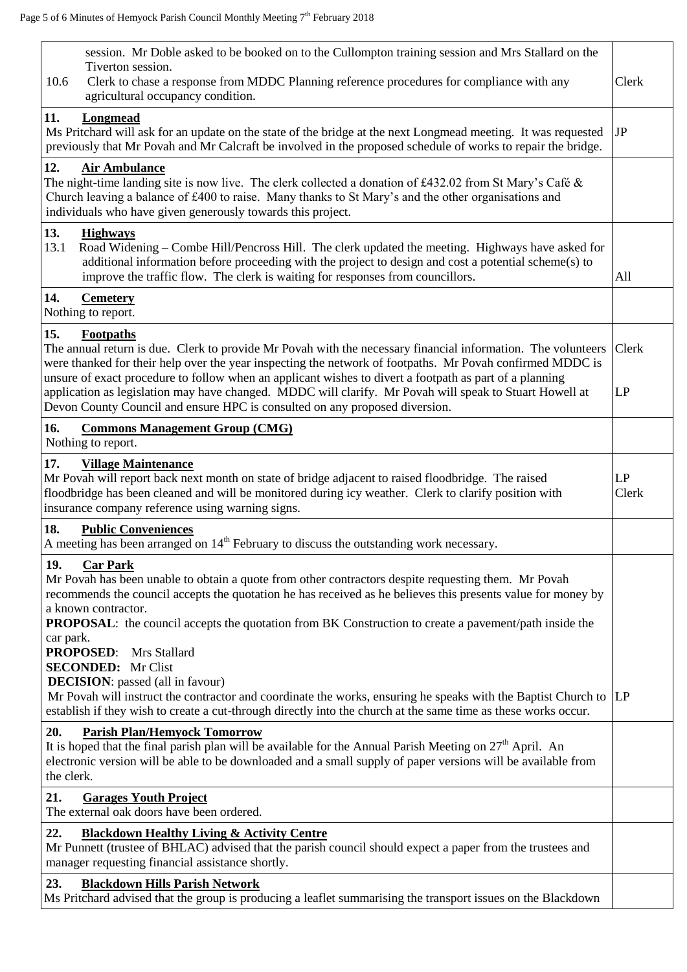| session. Mr Doble asked to be booked on to the Cullompton training session and Mrs Stallard on the<br>Tiverton session.<br>Clerk to chase a response from MDDC Planning reference procedures for compliance with any<br>10.6<br>agricultural occupancy condition.                                                                                                                                                                                                                                                                                         | Clerk       |
|-----------------------------------------------------------------------------------------------------------------------------------------------------------------------------------------------------------------------------------------------------------------------------------------------------------------------------------------------------------------------------------------------------------------------------------------------------------------------------------------------------------------------------------------------------------|-------------|
| 11.<br><b>Longmead</b><br>Ms Pritchard will ask for an update on the state of the bridge at the next Longmead meeting. It was requested<br>previously that Mr Povah and Mr Calcraft be involved in the proposed schedule of works to repair the bridge.                                                                                                                                                                                                                                                                                                   | JP          |
| 12.<br><b>Air Ambulance</b><br>The night-time landing site is now live. The clerk collected a donation of £432.02 from St Mary's Café &<br>Church leaving a balance of £400 to raise. Many thanks to St Mary's and the other organisations and<br>individuals who have given generously towards this project.                                                                                                                                                                                                                                             |             |
| 13.<br><b>Highways</b><br>13.1<br>Road Widening – Combe Hill/Pencross Hill. The clerk updated the meeting. Highways have asked for<br>additional information before proceeding with the project to design and cost a potential scheme(s) to<br>improve the traffic flow. The clerk is waiting for responses from councillors.                                                                                                                                                                                                                             | All         |
| 14.<br><b>Cemetery</b><br>Nothing to report.                                                                                                                                                                                                                                                                                                                                                                                                                                                                                                              |             |
| 15.<br><b>Footpaths</b><br>The annual return is due. Clerk to provide Mr Povah with the necessary financial information. The volunteers<br>were thanked for their help over the year inspecting the network of footpaths. Mr Povah confirmed MDDC is<br>unsure of exact procedure to follow when an applicant wishes to divert a footpath as part of a planning<br>application as legislation may have changed. MDDC will clarify. Mr Povah will speak to Stuart Howell at<br>Devon County Council and ensure HPC is consulted on any proposed diversion. | Clerk<br>LP |
| 16.<br><b>Commons Management Group (CMG)</b><br>Nothing to report.                                                                                                                                                                                                                                                                                                                                                                                                                                                                                        |             |
| 17.<br><b>Village Maintenance</b><br>Mr Povah will report back next month on state of bridge adjacent to raised floodbridge. The raised<br>floodbridge has been cleaned and will be monitored during icy weather. Clerk to clarify position with<br>insurance company reference using warning signs.                                                                                                                                                                                                                                                      | LP<br>Clerk |
| 18.<br><b>Public Conveniences</b><br>A meeting has been arranged on $14th$ February to discuss the outstanding work necessary.                                                                                                                                                                                                                                                                                                                                                                                                                            |             |
| 19.<br><b>Car Park</b><br>Mr Povah has been unable to obtain a quote from other contractors despite requesting them. Mr Povah<br>recommends the council accepts the quotation he has received as he believes this presents value for money by<br>a known contractor.<br><b>PROPOSAL:</b> the council accepts the quotation from BK Construction to create a pavement/path inside the                                                                                                                                                                      |             |
| car park.<br><b>PROPOSED:</b><br>Mrs Stallard<br><b>SECONDED:</b> Mr Clist<br><b>DECISION</b> : passed (all in favour)<br>Mr Povah will instruct the contractor and coordinate the works, ensuring he speaks with the Baptist Church to  LP<br>establish if they wish to create a cut-through directly into the church at the same time as these works occur.                                                                                                                                                                                             |             |
| <b>Parish Plan/Hemyock Tomorrow</b><br>20.<br>It is hoped that the final parish plan will be available for the Annual Parish Meeting on $27th$ April. An<br>electronic version will be able to be downloaded and a small supply of paper versions will be available from<br>the clerk.                                                                                                                                                                                                                                                                    |             |
| 21.<br><b>Garages Youth Project</b><br>The external oak doors have been ordered.                                                                                                                                                                                                                                                                                                                                                                                                                                                                          |             |
| 22.<br><b>Blackdown Healthy Living &amp; Activity Centre</b><br>Mr Punnett (trustee of BHLAC) advised that the parish council should expect a paper from the trustees and<br>manager requesting financial assistance shortly.                                                                                                                                                                                                                                                                                                                             |             |
| 23.<br><b>Blackdown Hills Parish Network</b><br>Ms Pritchard advised that the group is producing a leaflet summarising the transport issues on the Blackdown                                                                                                                                                                                                                                                                                                                                                                                              |             |